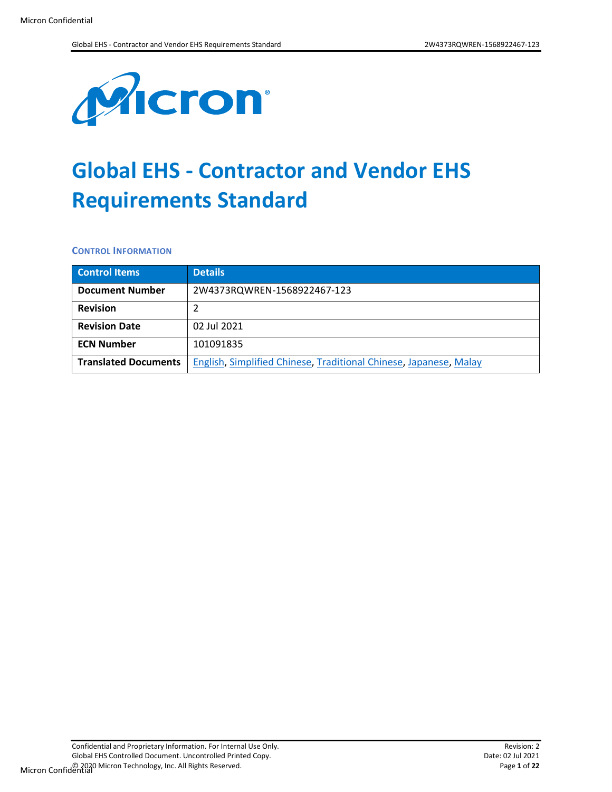

# **Global EHS - Contractor and Vendor EHS Requirements Standard**

**CONTROL INFORMATION**

| <b>Control Items</b>        | <b>Details</b>                                                    |
|-----------------------------|-------------------------------------------------------------------|
| <b>Document Number</b>      | 2W4373RQWREN-1568922467-123                                       |
| <b>Revision</b>             |                                                                   |
| <b>Revision Date</b>        | 02 Jul 2021                                                       |
| <b>ECN Number</b>           | 101091835                                                         |
| <b>Translated Documents</b> | English, Simplified Chinese, Traditional Chinese, Japanese, Malay |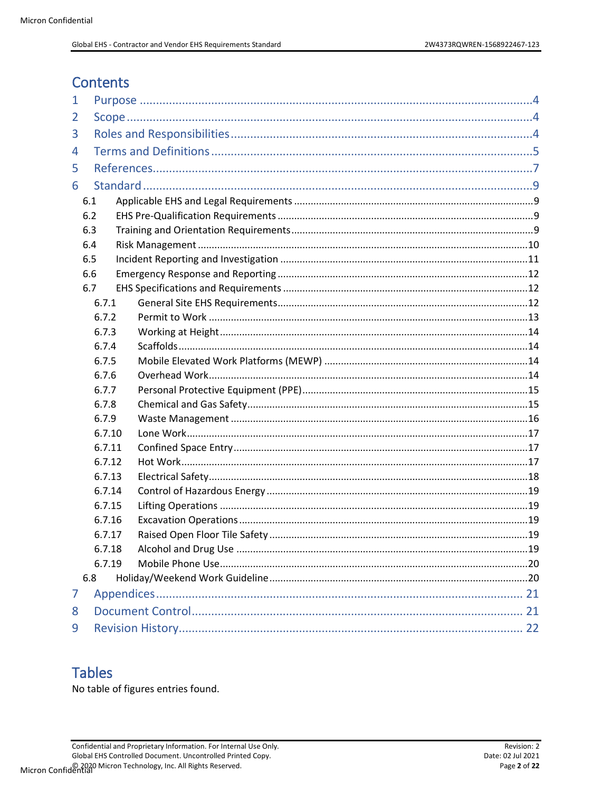# **Contents**

| 1 |        |  |  |
|---|--------|--|--|
| 2 |        |  |  |
| 3 |        |  |  |
| 4 |        |  |  |
| 5 |        |  |  |
| 6 |        |  |  |
|   | 6.1    |  |  |
|   | 6.2    |  |  |
|   | 6.3    |  |  |
|   | 6.4    |  |  |
|   | 6.5    |  |  |
|   | 6.6    |  |  |
|   | 6.7    |  |  |
|   | 6.7.1  |  |  |
|   | 6.7.2  |  |  |
|   | 6.7.3  |  |  |
|   | 6.7.4  |  |  |
|   | 6.7.5  |  |  |
|   | 6.7.6  |  |  |
|   | 6.7.7  |  |  |
|   | 6.7.8  |  |  |
|   | 6.7.9  |  |  |
|   | 6.7.10 |  |  |
|   | 6.7.11 |  |  |
|   | 6.7.12 |  |  |
|   | 6.7.13 |  |  |
|   | 6.7.14 |  |  |
|   | 6.7.15 |  |  |
|   | 6.7.16 |  |  |
|   | 6.7.17 |  |  |
|   | 6.7.18 |  |  |
|   | 6.7.19 |  |  |
|   | 6.8    |  |  |
| 7 |        |  |  |
| 8 |        |  |  |
| 9 |        |  |  |

# **Tables**

No table of figures entries found.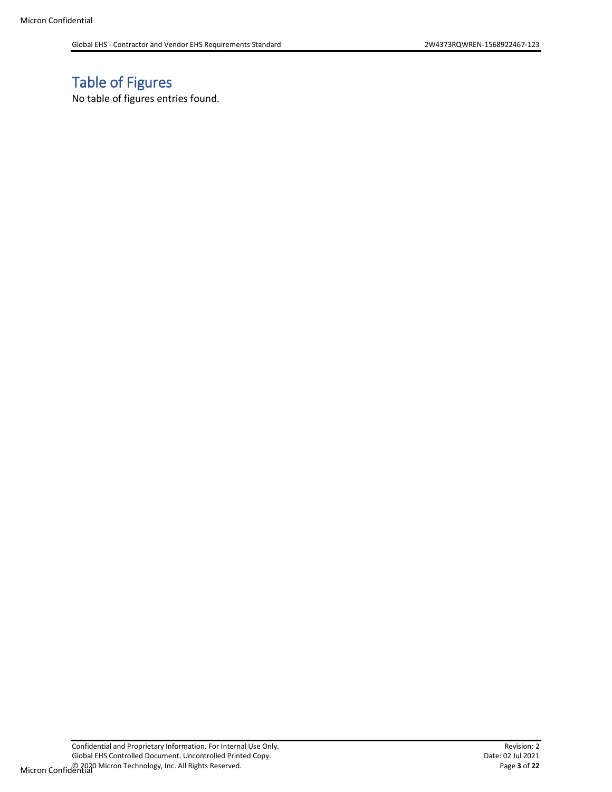# Table of Figures

No table of figures entries found.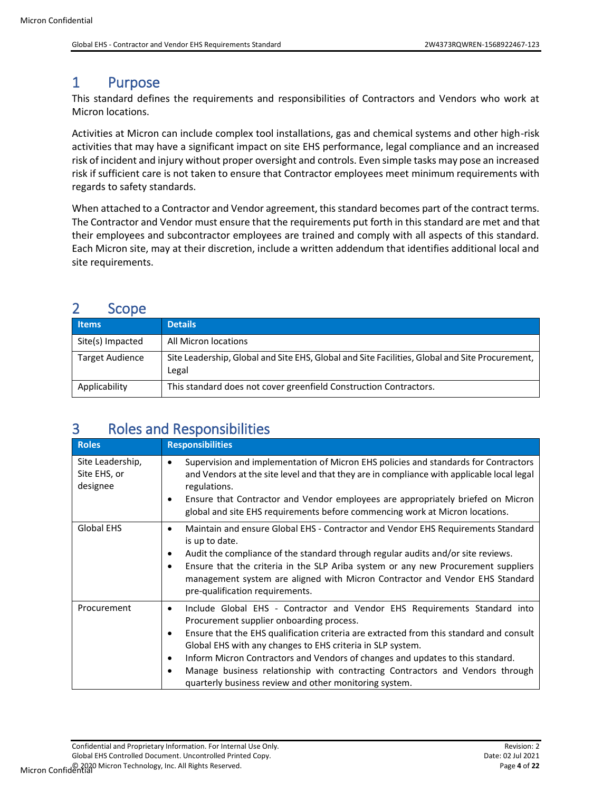# <span id="page-3-0"></span>1 Purpose

This standard defines the requirements and responsibilities of Contractors and Vendors who work at Micron locations.

Activities at Micron can include complex tool installations, gas and chemical systems and other high-risk activities that may have a significant impact on site EHS performance, legal compliance and an increased risk of incident and injury without proper oversight and controls. Even simple tasks may pose an increased risk if sufficient care is not taken to ensure that Contractor employees meet minimum requirements with regards to safety standards.

When attached to a Contractor and Vendor agreement, this standard becomes part of the contract terms. The Contractor and Vendor must ensure that the requirements put forth in this standard are met and that their employees and subcontractor employees are trained and comply with all aspects of this standard. Each Micron site, may at their discretion, include a written addendum that identifies additional local and site requirements.

# <span id="page-3-1"></span>2 Scope

| <b>Items</b>           | <b>Details</b>                                                                                          |
|------------------------|---------------------------------------------------------------------------------------------------------|
| Site(s) Impacted       | All Micron locations                                                                                    |
| <b>Target Audience</b> | Site Leadership, Global and Site EHS, Global and Site Facilities, Global and Site Procurement,<br>Legal |
| Applicability          | This standard does not cover greenfield Construction Contractors.                                       |

# <span id="page-3-2"></span>3 Roles and Responsibilities

| <b>Roles</b>                                 | <b>Responsibilities</b>                                                                                                                                                                                                                                                                                                                                                                                                                                                                                                         |
|----------------------------------------------|---------------------------------------------------------------------------------------------------------------------------------------------------------------------------------------------------------------------------------------------------------------------------------------------------------------------------------------------------------------------------------------------------------------------------------------------------------------------------------------------------------------------------------|
| Site Leadership,<br>Site EHS, or<br>designee | Supervision and implementation of Micron EHS policies and standards for Contractors<br>٠<br>and Vendors at the site level and that they are in compliance with applicable local legal<br>regulations.<br>Ensure that Contractor and Vendor employees are appropriately briefed on Micron<br>٠<br>global and site EHS requirements before commencing work at Micron locations.                                                                                                                                                   |
| <b>Global EHS</b>                            | Maintain and ensure Global EHS - Contractor and Vendor EHS Requirements Standard<br>٠<br>is up to date.<br>Audit the compliance of the standard through regular audits and/or site reviews.<br>٠<br>Ensure that the criteria in the SLP Ariba system or any new Procurement suppliers<br>٠<br>management system are aligned with Micron Contractor and Vendor EHS Standard<br>pre-qualification requirements.                                                                                                                   |
| Procurement                                  | Include Global EHS - Contractor and Vendor EHS Requirements Standard into<br>٠<br>Procurement supplier onboarding process.<br>Ensure that the EHS qualification criteria are extracted from this standard and consult<br>٠<br>Global EHS with any changes to EHS criteria in SLP system.<br>Inform Micron Contractors and Vendors of changes and updates to this standard.<br>٠<br>Manage business relationship with contracting Contractors and Vendors through<br>٠<br>quarterly business review and other monitoring system. |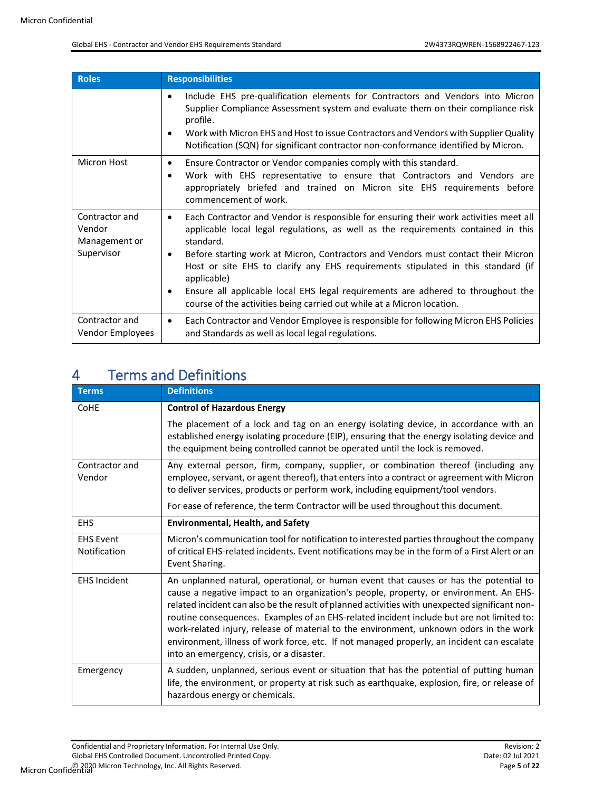| <b>Roles</b>                                            | <b>Responsibilities</b>                                                                                                                                                                                                                                                                                                                                                                                                                                                                                                                                                              |
|---------------------------------------------------------|--------------------------------------------------------------------------------------------------------------------------------------------------------------------------------------------------------------------------------------------------------------------------------------------------------------------------------------------------------------------------------------------------------------------------------------------------------------------------------------------------------------------------------------------------------------------------------------|
|                                                         | Include EHS pre-qualification elements for Contractors and Vendors into Micron<br>$\bullet$<br>Supplier Compliance Assessment system and evaluate them on their compliance risk<br>profile.<br>Work with Micron EHS and Host to issue Contractors and Vendors with Supplier Quality<br>$\bullet$<br>Notification (SQN) for significant contractor non-conformance identified by Micron.                                                                                                                                                                                              |
| Micron Host                                             | Ensure Contractor or Vendor companies comply with this standard.<br>$\bullet$<br>Work with EHS representative to ensure that Contractors and Vendors are<br>$\bullet$<br>appropriately briefed and trained on Micron site EHS requirements before<br>commencement of work.                                                                                                                                                                                                                                                                                                           |
| Contractor and<br>Vendor<br>Management or<br>Supervisor | Each Contractor and Vendor is responsible for ensuring their work activities meet all<br>$\bullet$<br>applicable local legal regulations, as well as the requirements contained in this<br>standard.<br>Before starting work at Micron, Contractors and Vendors must contact their Micron<br>$\bullet$<br>Host or site EHS to clarify any EHS requirements stipulated in this standard (if<br>applicable)<br>Ensure all applicable local EHS legal requirements are adhered to throughout the<br>$\bullet$<br>course of the activities being carried out while at a Micron location. |
| Contractor and<br>Vendor Employees                      | Each Contractor and Vendor Employee is responsible for following Micron EHS Policies<br>$\bullet$<br>and Standards as well as local legal regulations.                                                                                                                                                                                                                                                                                                                                                                                                                               |

# <span id="page-4-0"></span>4 Terms and Definitions

| <b>Terms</b>                     | <b>Definitions</b>                                                                                                                                                                                                                                                                                                                                                                                                                                                                                                                                                                                                  |
|----------------------------------|---------------------------------------------------------------------------------------------------------------------------------------------------------------------------------------------------------------------------------------------------------------------------------------------------------------------------------------------------------------------------------------------------------------------------------------------------------------------------------------------------------------------------------------------------------------------------------------------------------------------|
| CoHE                             | <b>Control of Hazardous Energy</b>                                                                                                                                                                                                                                                                                                                                                                                                                                                                                                                                                                                  |
|                                  | The placement of a lock and tag on an energy isolating device, in accordance with an<br>established energy isolating procedure (EIP), ensuring that the energy isolating device and<br>the equipment being controlled cannot be operated until the lock is removed.                                                                                                                                                                                                                                                                                                                                                 |
| Contractor and<br>Vendor         | Any external person, firm, company, supplier, or combination thereof (including any<br>employee, servant, or agent thereof), that enters into a contract or agreement with Micron<br>to deliver services, products or perform work, including equipment/tool vendors.                                                                                                                                                                                                                                                                                                                                               |
|                                  | For ease of reference, the term Contractor will be used throughout this document.                                                                                                                                                                                                                                                                                                                                                                                                                                                                                                                                   |
| <b>EHS</b>                       | <b>Environmental, Health, and Safety</b>                                                                                                                                                                                                                                                                                                                                                                                                                                                                                                                                                                            |
| <b>EHS Event</b><br>Notification | Micron's communication tool for notification to interested parties throughout the company<br>of critical EHS-related incidents. Event notifications may be in the form of a First Alert or an<br>Event Sharing.                                                                                                                                                                                                                                                                                                                                                                                                     |
| <b>EHS Incident</b>              | An unplanned natural, operational, or human event that causes or has the potential to<br>cause a negative impact to an organization's people, property, or environment. An EHS-<br>related incident can also be the result of planned activities with unexpected significant non-<br>routine consequences. Examples of an EHS-related incident include but are not limited to:<br>work-related injury, release of material to the environment, unknown odors in the work<br>environment, illness of work force, etc. If not managed properly, an incident can escalate<br>into an emergency, crisis, or a disaster. |
| Emergency                        | A sudden, unplanned, serious event or situation that has the potential of putting human<br>life, the environment, or property at risk such as earthquake, explosion, fire, or release of<br>hazardous energy or chemicals.                                                                                                                                                                                                                                                                                                                                                                                          |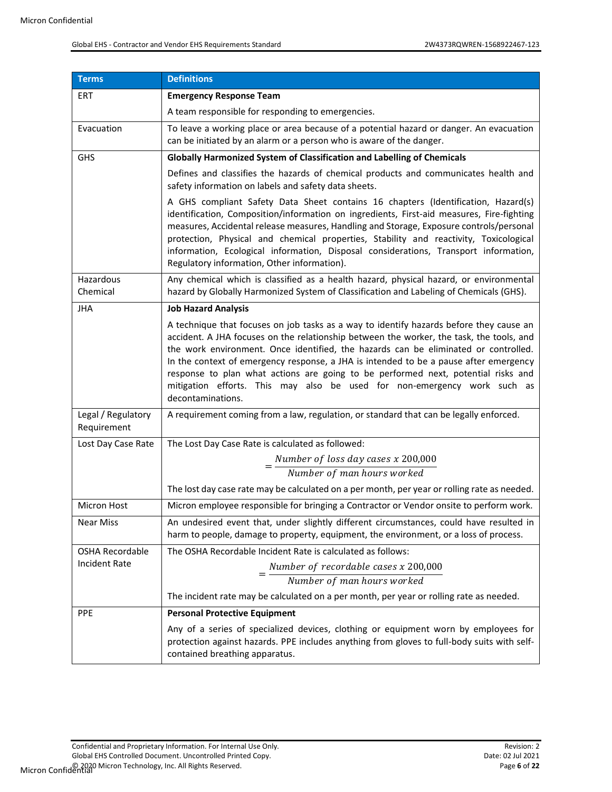| Terms                             | <b>Definitions</b>                                                                                                                                                                                                                                                                                                                                                                                                                                                                                                                                        |
|-----------------------------------|-----------------------------------------------------------------------------------------------------------------------------------------------------------------------------------------------------------------------------------------------------------------------------------------------------------------------------------------------------------------------------------------------------------------------------------------------------------------------------------------------------------------------------------------------------------|
| <b>ERT</b>                        | <b>Emergency Response Team</b>                                                                                                                                                                                                                                                                                                                                                                                                                                                                                                                            |
|                                   | A team responsible for responding to emergencies.                                                                                                                                                                                                                                                                                                                                                                                                                                                                                                         |
| Evacuation                        | To leave a working place or area because of a potential hazard or danger. An evacuation<br>can be initiated by an alarm or a person who is aware of the danger.                                                                                                                                                                                                                                                                                                                                                                                           |
| <b>GHS</b>                        | Globally Harmonized System of Classification and Labelling of Chemicals                                                                                                                                                                                                                                                                                                                                                                                                                                                                                   |
|                                   | Defines and classifies the hazards of chemical products and communicates health and<br>safety information on labels and safety data sheets.                                                                                                                                                                                                                                                                                                                                                                                                               |
|                                   | A GHS compliant Safety Data Sheet contains 16 chapters (Identification, Hazard(s)<br>identification, Composition/information on ingredients, First-aid measures, Fire-fighting<br>measures, Accidental release measures, Handling and Storage, Exposure controls/personal<br>protection, Physical and chemical properties, Stability and reactivity, Toxicological<br>information, Ecological information, Disposal considerations, Transport information,<br>Regulatory information, Other information).                                                 |
| Hazardous<br>Chemical             | Any chemical which is classified as a health hazard, physical hazard, or environmental<br>hazard by Globally Harmonized System of Classification and Labeling of Chemicals (GHS).                                                                                                                                                                                                                                                                                                                                                                         |
| <b>JHA</b>                        | <b>Job Hazard Analysis</b>                                                                                                                                                                                                                                                                                                                                                                                                                                                                                                                                |
|                                   | A technique that focuses on job tasks as a way to identify hazards before they cause an<br>accident. A JHA focuses on the relationship between the worker, the task, the tools, and<br>the work environment. Once identified, the hazards can be eliminated or controlled.<br>In the context of emergency response, a JHA is intended to be a pause after emergency<br>response to plan what actions are going to be performed next, potential risks and<br>mitigation efforts. This may also be used for non-emergency work such as<br>decontaminations. |
| Legal / Regulatory<br>Requirement | A requirement coming from a law, regulation, or standard that can be legally enforced.                                                                                                                                                                                                                                                                                                                                                                                                                                                                    |
| Lost Day Case Rate                | The Lost Day Case Rate is calculated as followed:                                                                                                                                                                                                                                                                                                                                                                                                                                                                                                         |
|                                   | $=\frac{Number\ of\ loss\ day\ cases\ x\ 200,000}{Number\ of\ man\ hours\ worked}$                                                                                                                                                                                                                                                                                                                                                                                                                                                                        |
|                                   |                                                                                                                                                                                                                                                                                                                                                                                                                                                                                                                                                           |
|                                   | The lost day case rate may be calculated on a per month, per year or rolling rate as needed.                                                                                                                                                                                                                                                                                                                                                                                                                                                              |
| <b>Micron Host</b>                | Micron employee responsible for bringing a Contractor or Vendor onsite to perform work.                                                                                                                                                                                                                                                                                                                                                                                                                                                                   |
| <b>Near Miss</b>                  | An undesired event that, under slightly different circumstances, could have resulted in<br>harm to people, damage to property, equipment, the environment, or a loss of process.                                                                                                                                                                                                                                                                                                                                                                          |
| <b>OSHA Recordable</b>            | The OSHA Recordable Incident Rate is calculated as follows:                                                                                                                                                                                                                                                                                                                                                                                                                                                                                               |
| <b>Incident Rate</b>              | $=\frac{Number\ of\ recordedable\ cases\ x\ 200,000}{8}$                                                                                                                                                                                                                                                                                                                                                                                                                                                                                                  |
|                                   | Number of man hours worked                                                                                                                                                                                                                                                                                                                                                                                                                                                                                                                                |
|                                   | The incident rate may be calculated on a per month, per year or rolling rate as needed.                                                                                                                                                                                                                                                                                                                                                                                                                                                                   |
| <b>PPE</b>                        | <b>Personal Protective Equipment</b>                                                                                                                                                                                                                                                                                                                                                                                                                                                                                                                      |
|                                   | Any of a series of specialized devices, clothing or equipment worn by employees for<br>protection against hazards. PPE includes anything from gloves to full-body suits with self-<br>contained breathing apparatus.                                                                                                                                                                                                                                                                                                                                      |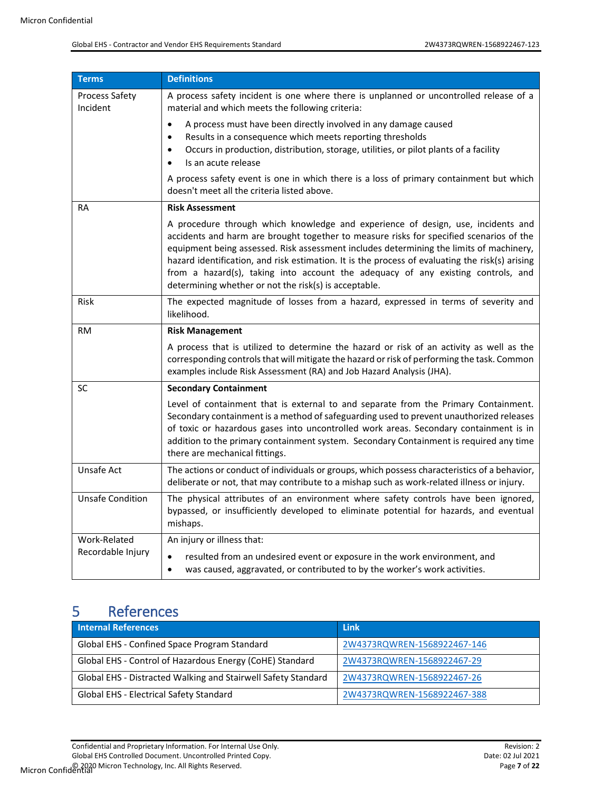| Terms                             | <b>Definitions</b>                                                                                                                                                                                                                                                                                                                                                                                                                                                                                                     |
|-----------------------------------|------------------------------------------------------------------------------------------------------------------------------------------------------------------------------------------------------------------------------------------------------------------------------------------------------------------------------------------------------------------------------------------------------------------------------------------------------------------------------------------------------------------------|
| <b>Process Safety</b><br>Incident | A process safety incident is one where there is unplanned or uncontrolled release of a<br>material and which meets the following criteria:                                                                                                                                                                                                                                                                                                                                                                             |
|                                   | A process must have been directly involved in any damage caused<br>$\bullet$                                                                                                                                                                                                                                                                                                                                                                                                                                           |
|                                   | Results in a consequence which meets reporting thresholds<br>٠<br>Occurs in production, distribution, storage, utilities, or pilot plants of a facility<br>$\bullet$<br>Is an acute release                                                                                                                                                                                                                                                                                                                            |
|                                   | A process safety event is one in which there is a loss of primary containment but which<br>doesn't meet all the criteria listed above.                                                                                                                                                                                                                                                                                                                                                                                 |
| RA                                | <b>Risk Assessment</b>                                                                                                                                                                                                                                                                                                                                                                                                                                                                                                 |
|                                   | A procedure through which knowledge and experience of design, use, incidents and<br>accidents and harm are brought together to measure risks for specified scenarios of the<br>equipment being assessed. Risk assessment includes determining the limits of machinery,<br>hazard identification, and risk estimation. It is the process of evaluating the risk(s) arising<br>from a hazard(s), taking into account the adequacy of any existing controls, and<br>determining whether or not the risk(s) is acceptable. |
| Risk                              | The expected magnitude of losses from a hazard, expressed in terms of severity and<br>likelihood.                                                                                                                                                                                                                                                                                                                                                                                                                      |
| <b>RM</b>                         | <b>Risk Management</b>                                                                                                                                                                                                                                                                                                                                                                                                                                                                                                 |
|                                   | A process that is utilized to determine the hazard or risk of an activity as well as the<br>corresponding controls that will mitigate the hazard or risk of performing the task. Common<br>examples include Risk Assessment (RA) and Job Hazard Analysis (JHA).                                                                                                                                                                                                                                                        |
| SC                                | <b>Secondary Containment</b>                                                                                                                                                                                                                                                                                                                                                                                                                                                                                           |
|                                   | Level of containment that is external to and separate from the Primary Containment.<br>Secondary containment is a method of safeguarding used to prevent unauthorized releases<br>of toxic or hazardous gases into uncontrolled work areas. Secondary containment is in<br>addition to the primary containment system. Secondary Containment is required any time<br>there are mechanical fittings.                                                                                                                    |
| Unsafe Act                        | The actions or conduct of individuals or groups, which possess characteristics of a behavior,<br>deliberate or not, that may contribute to a mishap such as work-related illness or injury.                                                                                                                                                                                                                                                                                                                            |
| <b>Unsafe Condition</b>           | The physical attributes of an environment where safety controls have been ignored,<br>bypassed, or insufficiently developed to eliminate potential for hazards, and eventual<br>mishaps.                                                                                                                                                                                                                                                                                                                               |
| Work-Related                      | An injury or illness that:                                                                                                                                                                                                                                                                                                                                                                                                                                                                                             |
| Recordable Injury                 | resulted from an undesired event or exposure in the work environment, and<br>$\bullet$<br>was caused, aggravated, or contributed to by the worker's work activities.<br>$\bullet$                                                                                                                                                                                                                                                                                                                                      |

# <span id="page-6-0"></span>5 References

| <b>Internal References</b>                                    | Link                        |
|---------------------------------------------------------------|-----------------------------|
| Global EHS - Confined Space Program Standard                  | 2W4373RQWREN-1568922467-146 |
| Global EHS - Control of Hazardous Energy (CoHE) Standard      | 2W4373RQWREN-1568922467-29  |
| Global EHS - Distracted Walking and Stairwell Safety Standard | 2W4373RQWREN-1568922467-26  |
| Global EHS - Electrical Safety Standard                       | 2W4373RQWREN-1568922467-388 |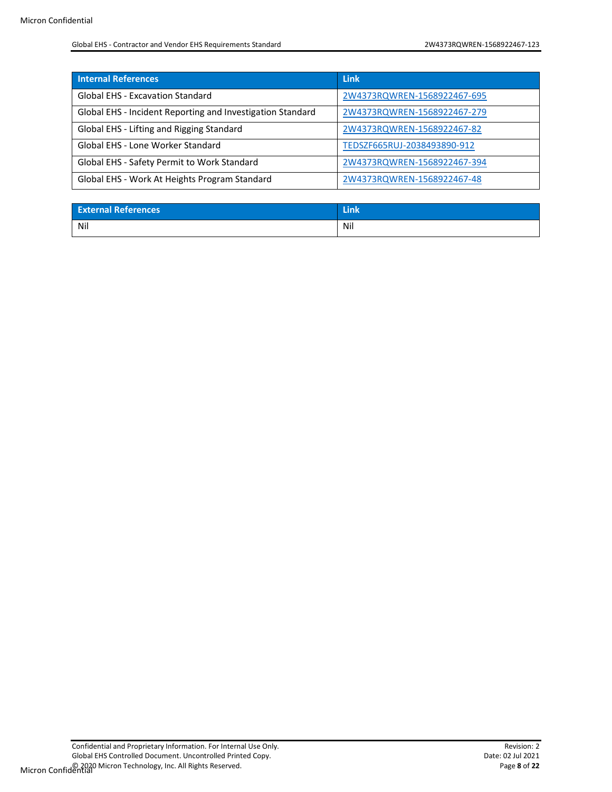| <b>Internal References</b>                                 | <b>Link</b>                 |
|------------------------------------------------------------|-----------------------------|
| <b>Global EHS - Excavation Standard</b>                    | 2W4373RQWREN-1568922467-695 |
| Global EHS - Incident Reporting and Investigation Standard | 2W4373RQWREN-1568922467-279 |
| Global EHS - Lifting and Rigging Standard                  | 2W4373RQWREN-1568922467-82  |
| Global EHS - Lone Worker Standard                          | TEDSZF665RUJ-2038493890-912 |
| Global EHS - Safety Permit to Work Standard                | 2W4373RQWREN-1568922467-394 |
| Global EHS - Work At Heights Program Standard              | 2W4373RQWREN-1568922467-48  |

| <b>External References</b> | <b>State</b> |
|----------------------------|--------------|
| Nil                        | Nil          |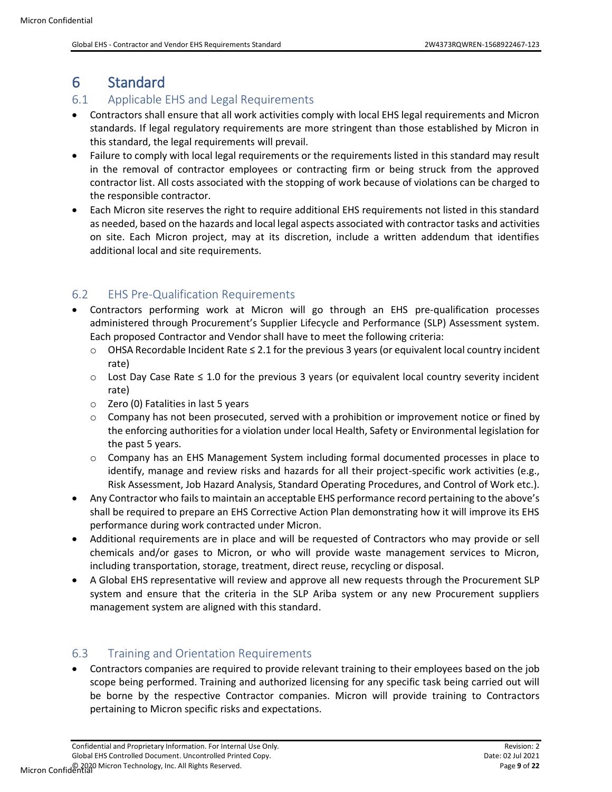# <span id="page-8-0"></span>6 Standard

### <span id="page-8-1"></span>6.1 Applicable EHS and Legal Requirements

- Contractors shall ensure that all work activities comply with local EHS legal requirements and Micron standards. If legal regulatory requirements are more stringent than those established by Micron in this standard, the legal requirements will prevail.
- Failure to comply with local legal requirements or the requirements listed in this standard may result in the removal of contractor employees or contracting firm or being struck from the approved contractor list. All costs associated with the stopping of work because of violations can be charged to the responsible contractor.
- Each Micron site reserves the right to require additional EHS requirements not listed in this standard as needed, based on the hazards and local legal aspects associated with contractor tasks and activities on site. Each Micron project, may at its discretion, include a written addendum that identifies additional local and site requirements.

### <span id="page-8-2"></span>6.2 EHS Pre-Qualification Requirements

- Contractors performing work at Micron will go through an EHS pre-qualification processes administered through Procurement's Supplier Lifecycle and Performance (SLP) Assessment system. Each proposed Contractor and Vendor shall have to meet the following criteria:
	- o OHSA Recordable Incident Rate ≤ 2.1 for the previous 3 years (or equivalent local country incident rate)
	- o Lost Day Case Rate ≤ 1.0 for the previous 3 years (or equivalent local country severity incident rate)
	- o Zero (0) Fatalities in last 5 years
	- $\circ$  Company has not been prosecuted, served with a prohibition or improvement notice or fined by the enforcing authorities for a violation under local Health, Safety or Environmental legislation for the past 5 years.
	- $\circ$  Company has an EHS Management System including formal documented processes in place to identify, manage and review risks and hazards for all their project-specific work activities (e.g., Risk Assessment, Job Hazard Analysis, Standard Operating Procedures, and Control of Work etc.).
- Any Contractor who fails to maintain an acceptable EHS performance record pertaining to the above's shall be required to prepare an EHS Corrective Action Plan demonstrating how it will improve its EHS performance during work contracted under Micron.
- Additional requirements are in place and will be requested of Contractors who may provide or sell chemicals and/or gases to Micron, or who will provide waste management services to Micron, including transportation, storage, treatment, direct reuse, recycling or disposal.
- A Global EHS representative will review and approve all new requests through the Procurement SLP system and ensure that the criteria in the SLP Ariba system or any new Procurement suppliers management system are aligned with this standard.

### <span id="page-8-3"></span>6.3 Training and Orientation Requirements

• Contractors companies are required to provide relevant training to their employees based on the job scope being performed. Training and authorized licensing for any specific task being carried out will be borne by the respective Contractor companies. Micron will provide training to Contractors pertaining to Micron specific risks and expectations.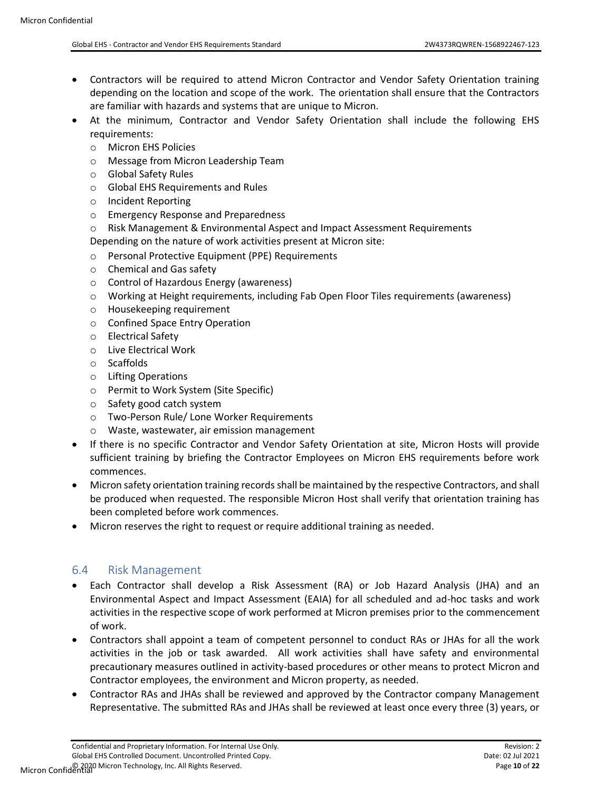- Contractors will be required to attend Micron Contractor and Vendor Safety Orientation training depending on the location and scope of the work. The orientation shall ensure that the Contractors are familiar with hazards and systems that are unique to Micron.
- At the minimum, Contractor and Vendor Safety Orientation shall include the following EHS requirements:
	- o Micron EHS Policies
	- o Message from Micron Leadership Team
	- o Global Safety Rules
	- o Global EHS Requirements and Rules
	- o Incident Reporting
	- o Emergency Response and Preparedness
	- o Risk Management & Environmental Aspect and Impact Assessment Requirements

Depending on the nature of work activities present at Micron site:

- o Personal Protective Equipment (PPE) Requirements
- o Chemical and Gas safety
- o Control of Hazardous Energy (awareness)
- o Working at Height requirements, including Fab Open Floor Tiles requirements (awareness)
- o Housekeeping requirement
- o Confined Space Entry Operation
- o Electrical Safety
- o Live Electrical Work
- o Scaffolds
- o Lifting Operations
- o Permit to Work System (Site Specific)
- o Safety good catch system
- o Two-Person Rule/ Lone Worker Requirements
- o Waste, wastewater, air emission management
- If there is no specific Contractor and Vendor Safety Orientation at site, Micron Hosts will provide sufficient training by briefing the Contractor Employees on Micron EHS requirements before work commences.
- Micron safety orientation training records shall be maintained by the respective Contractors, and shall be produced when requested. The responsible Micron Host shall verify that orientation training has been completed before work commences.
- Micron reserves the right to request or require additional training as needed.

#### <span id="page-9-0"></span>6.4 Risk Management

- Each Contractor shall develop a Risk Assessment (RA) or Job Hazard Analysis (JHA) and an Environmental Aspect and Impact Assessment (EAIA) for all scheduled and ad-hoc tasks and work activities in the respective scope of work performed at Micron premises prior to the commencement of work.
- Contractors shall appoint a team of competent personnel to conduct RAs or JHAs for all the work activities in the job or task awarded. All work activities shall have safety and environmental precautionary measures outlined in activity-based procedures or other means to protect Micron and Contractor employees, the environment and Micron property, as needed.
- Contractor RAs and JHAs shall be reviewed and approved by the Contractor company Management Representative. The submitted RAs and JHAs shall be reviewed at least once every three (3) years, or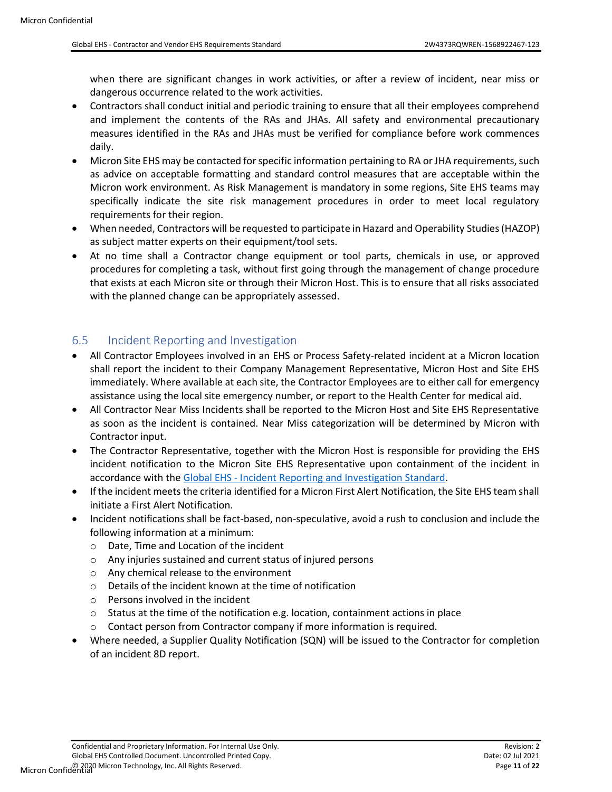when there are significant changes in work activities, or after a review of incident, near miss or dangerous occurrence related to the work activities.

- Contractors shall conduct initial and periodic training to ensure that all their employees comprehend and implement the contents of the RAs and JHAs. All safety and environmental precautionary measures identified in the RAs and JHAs must be verified for compliance before work commences daily.
- Micron Site EHS may be contacted for specific information pertaining to RA or JHA requirements, such as advice on acceptable formatting and standard control measures that are acceptable within the Micron work environment. As Risk Management is mandatory in some regions, Site EHS teams may specifically indicate the site risk management procedures in order to meet local regulatory requirements for their region.
- When needed, Contractors will be requested to participate in Hazard and Operability Studies (HAZOP) as subject matter experts on their equipment/tool sets.
- At no time shall a Contractor change equipment or tool parts, chemicals in use, or approved procedures for completing a task, without first going through the management of change procedure that exists at each Micron site or through their Micron Host. This is to ensure that all risks associated with the planned change can be appropriately assessed.

### <span id="page-10-0"></span>6.5 Incident Reporting and Investigation

- All Contractor Employees involved in an EHS or Process Safety-related incident at a Micron location shall report the incident to their Company Management Representative, Micron Host and Site EHS immediately. Where available at each site, the Contractor Employees are to either call for emergency assistance using the local site emergency number, or report to the Health Center for medical aid.
- All Contractor Near Miss Incidents shall be reported to the Micron Host and Site EHS Representative as soon as the incident is contained. Near Miss categorization will be determined by Micron with Contractor input.
- The Contractor Representative, together with the Micron Host is responsible for providing the EHS incident notification to the Micron Site EHS Representative upon containment of the incident in accordance with the Global EHS - [Incident Reporting and Investigation Standard.](#page-6-0)
- If the incident meets the criteria identified for a Micron First Alert Notification, the Site EHS team shall initiate a First Alert Notification.
- Incident notifications shall be fact-based, non-speculative, avoid a rush to conclusion and include the following information at a minimum:
	- o Date, Time and Location of the incident
	- o Any injuries sustained and current status of injured persons
	- o Any chemical release to the environment
	- o Details of the incident known at the time of notification
	- $\circ$  Persons involved in the incident
	- o Status at the time of the notification e.g. location, containment actions in place
	- o Contact person from Contractor company if more information is required.
- Where needed, a Supplier Quality Notification (SQN) will be issued to the Contractor for completion of an incident 8D report.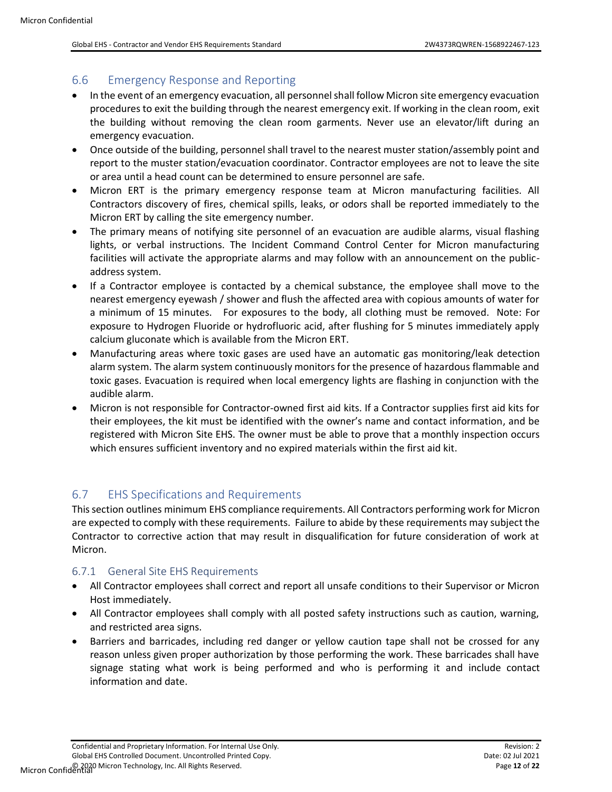#### <span id="page-11-0"></span>6.6 Emergency Response and Reporting

- In the event of an emergency evacuation, all personnel shall follow Micron site emergency evacuation procedures to exit the building through the nearest emergency exit. If working in the clean room, exit the building without removing the clean room garments. Never use an elevator/lift during an emergency evacuation.
- Once outside of the building, personnel shall travel to the nearest muster station/assembly point and report to the muster station/evacuation coordinator. Contractor employees are not to leave the site or area until a head count can be determined to ensure personnel are safe.
- Micron ERT is the primary emergency response team at Micron manufacturing facilities. All Contractors discovery of fires, chemical spills, leaks, or odors shall be reported immediately to the Micron ERT by calling the site emergency number.
- The primary means of notifying site personnel of an evacuation are audible alarms, visual flashing lights, or verbal instructions. The Incident Command Control Center for Micron manufacturing facilities will activate the appropriate alarms and may follow with an announcement on the publicaddress system.
- If a Contractor employee is contacted by a chemical substance, the employee shall move to the nearest emergency eyewash / shower and flush the affected area with copious amounts of water for a minimum of 15 minutes. For exposures to the body, all clothing must be removed. Note: For exposure to Hydrogen Fluoride or hydrofluoric acid, after flushing for 5 minutes immediately apply calcium gluconate which is available from the Micron ERT.
- Manufacturing areas where toxic gases are used have an automatic gas monitoring/leak detection alarm system. The alarm system continuously monitors for the presence of hazardous flammable and toxic gases. Evacuation is required when local emergency lights are flashing in conjunction with the audible alarm.
- Micron is not responsible for Contractor-owned first aid kits. If a Contractor supplies first aid kits for their employees, the kit must be identified with the owner's name and contact information, and be registered with Micron Site EHS. The owner must be able to prove that a monthly inspection occurs which ensures sufficient inventory and no expired materials within the first aid kit.

### <span id="page-11-1"></span>6.7 EHS Specifications and Requirements

This section outlines minimum EHS compliance requirements. All Contractors performing work for Micron are expected to comply with these requirements. Failure to abide by these requirements may subject the Contractor to corrective action that may result in disqualification for future consideration of work at Micron.

#### <span id="page-11-2"></span>6.7.1 General Site EHS Requirements

- All Contractor employees shall correct and report all unsafe conditions to their Supervisor or Micron Host immediately.
- All Contractor employees shall comply with all posted safety instructions such as caution, warning, and restricted area signs.
- Barriers and barricades, including red danger or yellow caution tape shall not be crossed for any reason unless given proper authorization by those performing the work. These barricades shall have signage stating what work is being performed and who is performing it and include contact information and date.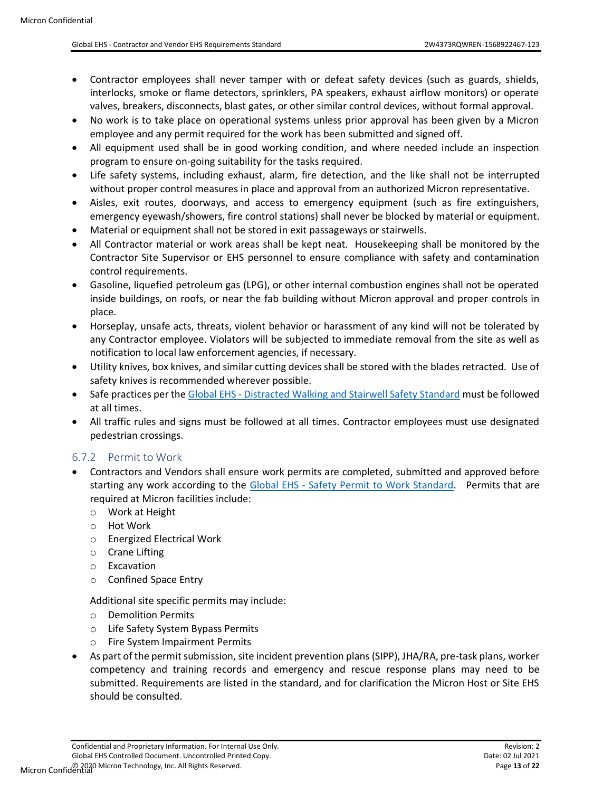- Contractor employees shall never tamper with or defeat safety devices (such as guards, shields, interlocks, smoke or flame detectors, sprinklers, PA speakers, exhaust airflow monitors) or operate valves, breakers, disconnects, blast gates, or other similar control devices, without formal approval.
- No work is to take place on operational systems unless prior approval has been given by a Micron employee and any permit required for the work has been submitted and signed off.
- All equipment used shall be in good working condition, and where needed include an inspection program to ensure on-going suitability for the tasks required.
- Life safety systems, including exhaust, alarm, fire detection, and the like shall not be interrupted without proper control measures in place and approval from an authorized Micron representative.
- Aisles, exit routes, doorways, and access to emergency equipment (such as fire extinguishers, emergency eyewash/showers, fire control stations) shall never be blocked by material or equipment.
- Material or equipment shall not be stored in exit passageways or stairwells.
- All Contractor material or work areas shall be kept neat. Housekeeping shall be monitored by the Contractor Site Supervisor or EHS personnel to ensure compliance with safety and contamination control requirements.
- Gasoline, liquefied petroleum gas (LPG), or other internal combustion engines shall not be operated inside buildings, on roofs, or near the fab building without Micron approval and proper controls in place.
- Horseplay, unsafe acts, threats, violent behavior or harassment of any kind will not be tolerated by any Contractor employee. Violators will be subjected to immediate removal from the site as well as notification to local law enforcement agencies, if necessary.
- Utility knives, box knives, and similar cutting devices shall be stored with the blades retracted. Use of safety knives is recommended wherever possible.
- Safe practices per the Global EHS [Distracted Walking and Stairwell Safety Standard](#page-6-0) must be followed at all times.
- All traffic rules and signs must be followed at all times. Contractor employees must use designated pedestrian crossings.

### <span id="page-12-0"></span>6.7.2 Permit to Work

- Contractors and Vendors shall ensure work permits are completed, submitted and approved before starting any work according to the Global EHS - [Safety Permit to Work Standard.](#page-6-0) Permits that are required at Micron facilities include:
	- o Work at Height
	- o Hot Work
	- o Energized Electrical Work
	- o Crane Lifting
	- o Excavation
	- o Confined Space Entry

Additional site specific permits may include:

- o Demolition Permits
- o Life Safety System Bypass Permits
- o Fire System Impairment Permits
- As part of the permit submission, site incident prevention plans (SIPP), JHA/RA, pre-task plans, worker competency and training records and emergency and rescue response plans may need to be submitted. Requirements are listed in the standard, and for clarification the Micron Host or Site EHS should be consulted.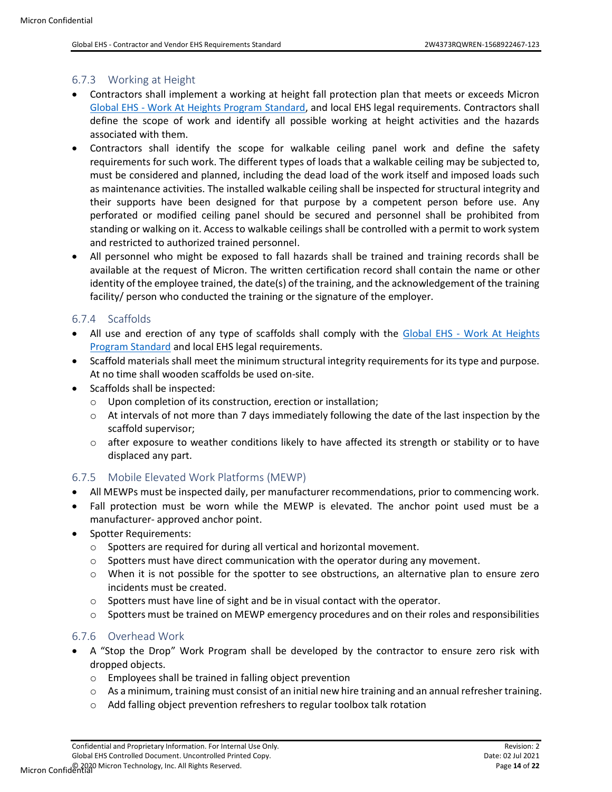#### <span id="page-13-0"></span>6.7.3 Working at Height

- Contractors shall implement a working at height fall protection plan that meets or exceeds Micron Global EHS - [Work At Heights Program Standard,](#page-6-0) and local EHS legal requirements. Contractors shall define the scope of work and identify all possible working at height activities and the hazards associated with them.
- Contractors shall identify the scope for walkable ceiling panel work and define the safety requirements for such work. The different types of loads that a walkable ceiling may be subjected to, must be considered and planned, including the dead load of the work itself and imposed loads such as maintenance activities. The installed walkable ceiling shall be inspected for structural integrity and their supports have been designed for that purpose by a competent person before use. Any perforated or modified ceiling panel should be secured and personnel shall be prohibited from standing or walking on it. Access to walkable ceilings shall be controlled with a permit to work system and restricted to authorized trained personnel.
- All personnel who might be exposed to fall hazards shall be trained and training records shall be available at the request of Micron. The written certification record shall contain the name or other identity of the employee trained, the date(s) of the training, and the acknowledgement of the training facility/ person who conducted the training or the signature of the employer.

#### <span id="page-13-1"></span>6.7.4 Scaffolds

- All use and erection of any type of scaffolds shall comply with the Global EHS Work At Heights [Program Standard](#page-6-0) and local EHS legal requirements.
- Scaffold materials shall meet the minimum structural integrity requirements for its type and purpose. At no time shall wooden scaffolds be used on-site.
- Scaffolds shall be inspected:
	- o Upon completion of its construction, erection or installation;
	- $\circ$  At intervals of not more than 7 days immediately following the date of the last inspection by the scaffold supervisor;
	- $\circ$  after exposure to weather conditions likely to have affected its strength or stability or to have displaced any part.

#### <span id="page-13-2"></span>6.7.5 Mobile Elevated Work Platforms (MEWP)

- All MEWPs must be inspected daily, per manufacturer recommendations, prior to commencing work.
- Fall protection must be worn while the MEWP is elevated. The anchor point used must be a manufacturer- approved anchor point.
- Spotter Requirements:
	- o Spotters are required for during all vertical and horizontal movement.
	- $\circ$  Spotters must have direct communication with the operator during any movement.
	- o When it is not possible for the spotter to see obstructions, an alternative plan to ensure zero incidents must be created.
	- $\circ$  Spotters must have line of sight and be in visual contact with the operator.
	- $\circ$  Spotters must be trained on MEWP emergency procedures and on their roles and responsibilities

#### <span id="page-13-3"></span>6.7.6 Overhead Work

- A "Stop the Drop" Work Program shall be developed by the contractor to ensure zero risk with dropped objects.
	- o Employees shall be trained in falling object prevention
	- $\circ$  As a minimum, training must consist of an initial new hire training and an annual refresher training.
	- o Add falling object prevention refreshers to regular toolbox talk rotation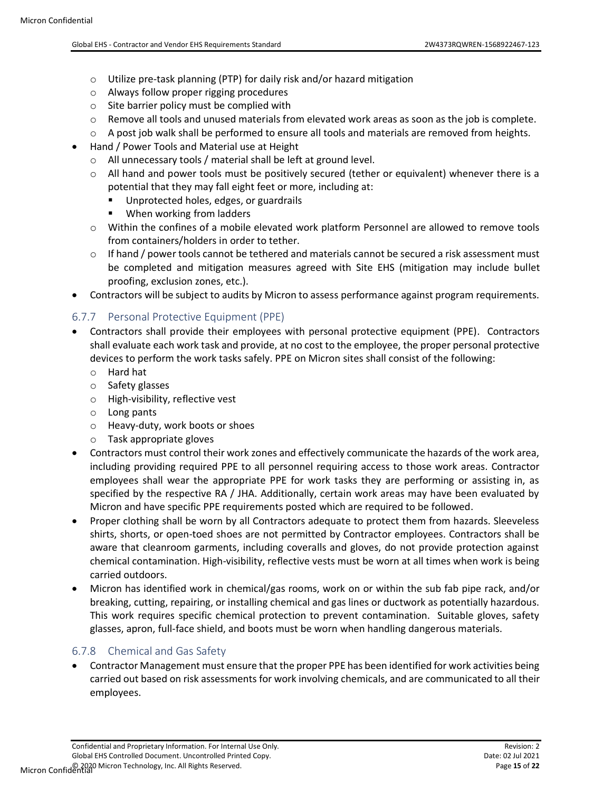- o Utilize pre-task planning (PTP) for daily risk and/or hazard mitigation
- o Always follow proper rigging procedures
- $\circ$  Site barrier policy must be complied with
- $\circ$  Remove all tools and unused materials from elevated work areas as soon as the job is complete.
- $\circ$  A post job walk shall be performed to ensure all tools and materials are removed from heights.
- Hand / Power Tools and Material use at Height
	- o All unnecessary tools / material shall be left at ground level.
	- $\circ$  All hand and power tools must be positively secured (tether or equivalent) whenever there is a potential that they may fall eight feet or more, including at:
		- Unprotected holes, edges, or guardrails
		- When working from ladders
	- o Within the confines of a mobile elevated work platform Personnel are allowed to remove tools from containers/holders in order to tether.
	- $\circ$  If hand / power tools cannot be tethered and materials cannot be secured a risk assessment must be completed and mitigation measures agreed with Site EHS (mitigation may include bullet proofing, exclusion zones, etc.).
- Contractors will be subject to audits by Micron to assess performance against program requirements.

# <span id="page-14-0"></span>6.7.7 Personal Protective Equipment (PPE)

- Contractors shall provide their employees with personal protective equipment (PPE). Contractors shall evaluate each work task and provide, at no cost to the employee, the proper personal protective devices to perform the work tasks safely. PPE on Micron sites shall consist of the following:
	- o Hard hat
	- o Safety glasses
	- o High-visibility, reflective vest
	- o Long pants
	- o Heavy-duty, work boots or shoes
	- o Task appropriate gloves
- Contractors must control their work zones and effectively communicate the hazards of the work area, including providing required PPE to all personnel requiring access to those work areas. Contractor employees shall wear the appropriate PPE for work tasks they are performing or assisting in, as specified by the respective RA / JHA. Additionally, certain work areas may have been evaluated by Micron and have specific PPE requirements posted which are required to be followed.
- Proper clothing shall be worn by all Contractors adequate to protect them from hazards. Sleeveless shirts, shorts, or open-toed shoes are not permitted by Contractor employees. Contractors shall be aware that cleanroom garments, including coveralls and gloves, do not provide protection against chemical contamination. High-visibility, reflective vests must be worn at all times when work is being carried outdoors.
- Micron has identified work in chemical/gas rooms, work on or within the sub fab pipe rack, and/or breaking, cutting, repairing, or installing chemical and gas lines or ductwork as potentially hazardous. This work requires specific chemical protection to prevent contamination. Suitable gloves, safety glasses, apron, full-face shield, and boots must be worn when handling dangerous materials.

### <span id="page-14-1"></span>6.7.8 Chemical and Gas Safety

• Contractor Management must ensure that the proper PPE has been identified for work activities being carried out based on risk assessments for work involving chemicals, and are communicated to all their employees.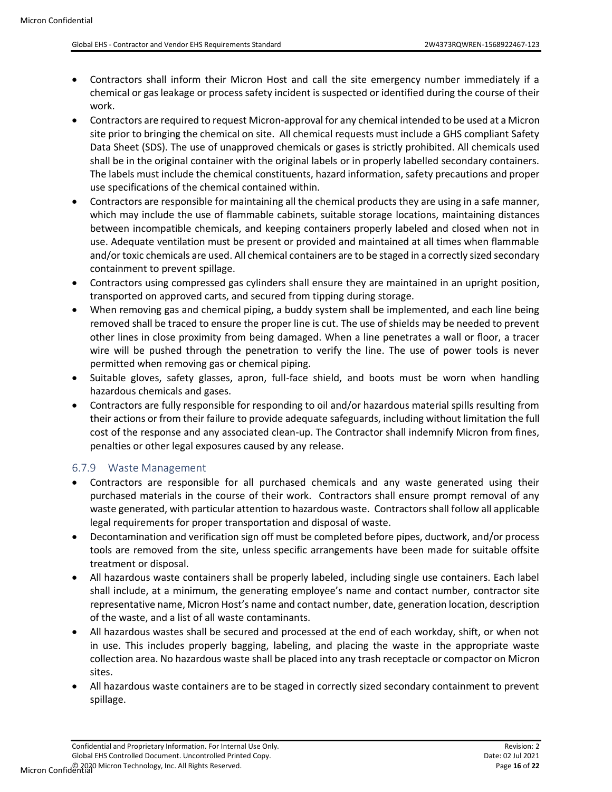- Contractors shall inform their Micron Host and call the site emergency number immediately if a chemical or gas leakage or process safety incident is suspected or identified during the course of their work.
- Contractors are required to request Micron-approval for any chemical intended to be used at a Micron site prior to bringing the chemical on site. All chemical requests must include a GHS compliant Safety Data Sheet (SDS). The use of unapproved chemicals or gases is strictly prohibited. All chemicals used shall be in the original container with the original labels or in properly labelled secondary containers. The labels must include the chemical constituents, hazard information, safety precautions and proper use specifications of the chemical contained within.
- Contractors are responsible for maintaining all the chemical products they are using in a safe manner, which may include the use of flammable cabinets, suitable storage locations, maintaining distances between incompatible chemicals, and keeping containers properly labeled and closed when not in use. Adequate ventilation must be present or provided and maintained at all times when flammable and/or toxic chemicals are used. All chemical containers are to be staged in a correctly sized secondary containment to prevent spillage.
- Contractors using compressed gas cylinders shall ensure they are maintained in an upright position, transported on approved carts, and secured from tipping during storage.
- When removing gas and chemical piping, a buddy system shall be implemented, and each line being removed shall be traced to ensure the proper line is cut. The use of shields may be needed to prevent other lines in close proximity from being damaged. When a line penetrates a wall or floor, a tracer wire will be pushed through the penetration to verify the line. The use of power tools is never permitted when removing gas or chemical piping.
- Suitable gloves, safety glasses, apron, full-face shield, and boots must be worn when handling hazardous chemicals and gases.
- Contractors are fully responsible for responding to oil and/or hazardous material spills resulting from their actions or from their failure to provide adequate safeguards, including without limitation the full cost of the response and any associated clean-up. The Contractor shall indemnify Micron from fines, penalties or other legal exposures caused by any release.

### <span id="page-15-0"></span>6.7.9 Waste Management

- Contractors are responsible for all purchased chemicals and any waste generated using their purchased materials in the course of their work. Contractors shall ensure prompt removal of any waste generated, with particular attention to hazardous waste. Contractors shall follow all applicable legal requirements for proper transportation and disposal of waste.
- Decontamination and verification sign off must be completed before pipes, ductwork, and/or process tools are removed from the site, unless specific arrangements have been made for suitable offsite treatment or disposal.
- All hazardous waste containers shall be properly labeled, including single use containers. Each label shall include, at a minimum, the generating employee's name and contact number, contractor site representative name, Micron Host's name and contact number, date, generation location, description of the waste, and a list of all waste contaminants.
- All hazardous wastes shall be secured and processed at the end of each workday, shift, or when not in use. This includes properly bagging, labeling, and placing the waste in the appropriate waste collection area. No hazardous waste shall be placed into any trash receptacle or compactor on Micron sites.
- All hazardous waste containers are to be staged in correctly sized secondary containment to prevent spillage.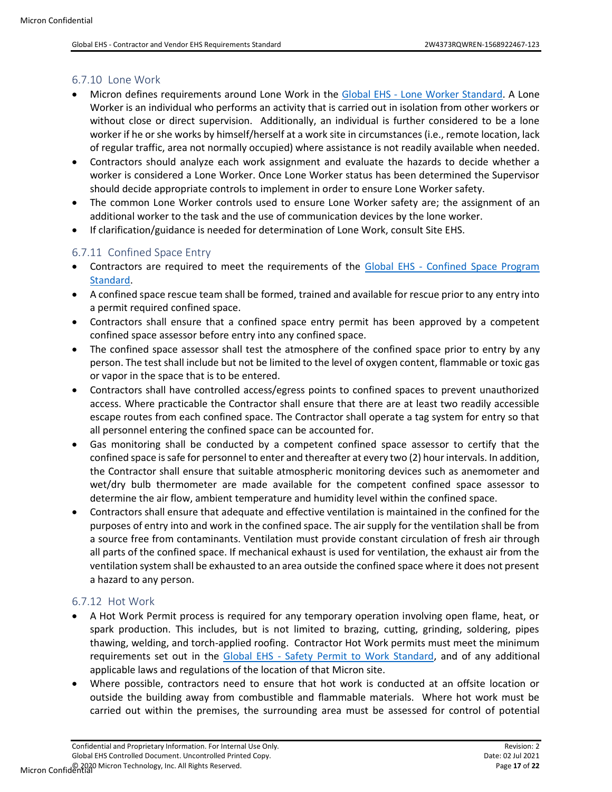#### <span id="page-16-0"></span>6.7.10 Lone Work

- Micron defines requirements around Lone Work in the Global EHS [Lone Worker Standard.](#page-6-0) A Lone Worker is an individual who performs an activity that is carried out in isolation from other workers or without close or direct supervision. Additionally, an individual is further considered to be a lone worker if he or she works by himself/herself at a work site in circumstances (i.e., remote location, lack of regular traffic, area not normally occupied) where assistance is not readily available when needed.
- Contractors should analyze each work assignment and evaluate the hazards to decide whether a worker is considered a Lone Worker. Once Lone Worker status has been determined the Supervisor should decide appropriate controls to implement in order to ensure Lone Worker safety.
- The common Lone Worker controls used to ensure Lone Worker safety are; the assignment of an additional worker to the task and the use of communication devices by the lone worker.
- If clarification/guidance is needed for determination of Lone Work, consult Site EHS.

#### <span id="page-16-1"></span>6.7.11 Confined Space Entry

- Contractors are required to meet the requirements of the Global EHS [Confined Space Program](#page-6-0)  [Standard.](#page-6-0)
- A confined space rescue team shall be formed, trained and available for rescue prior to any entry into a permit required confined space.
- Contractors shall ensure that a confined space entry permit has been approved by a competent confined space assessor before entry into any confined space.
- The confined space assessor shall test the atmosphere of the confined space prior to entry by any person. The test shall include but not be limited to the level of oxygen content, flammable or toxic gas or vapor in the space that is to be entered.
- Contractors shall have controlled access/egress points to confined spaces to prevent unauthorized access. Where practicable the Contractor shall ensure that there are at least two readily accessible escape routes from each confined space. The Contractor shall operate a tag system for entry so that all personnel entering the confined space can be accounted for.
- Gas monitoring shall be conducted by a competent confined space assessor to certify that the confined space is safe for personnel to enter and thereafter at every two (2) hour intervals. In addition, the Contractor shall ensure that suitable atmospheric monitoring devices such as anemometer and wet/dry bulb thermometer are made available for the competent confined space assessor to determine the air flow, ambient temperature and humidity level within the confined space.
- Contractors shall ensure that adequate and effective ventilation is maintained in the confined for the purposes of entry into and work in the confined space. The air supply for the ventilation shall be from a source free from contaminants. Ventilation must provide constant circulation of fresh air through all parts of the confined space. If mechanical exhaust is used for ventilation, the exhaust air from the ventilation system shall be exhausted to an area outside the confined space where it does not present a hazard to any person.

#### <span id="page-16-2"></span>6.7.12 Hot Work

- A Hot Work Permit process is required for any temporary operation involving open flame, heat, or spark production. This includes, but is not limited to brazing, cutting, grinding, soldering, pipes thawing, welding, and torch-applied roofing. Contractor Hot Work permits must meet the minimum requirements set out in the Global EHS - [Safety Permit to Work Standard,](#page-6-0) and of any additional applicable laws and regulations of the location of that Micron site.
- Where possible, contractors need to ensure that hot work is conducted at an offsite location or outside the building away from combustible and flammable materials. Where hot work must be carried out within the premises, the surrounding area must be assessed for control of potential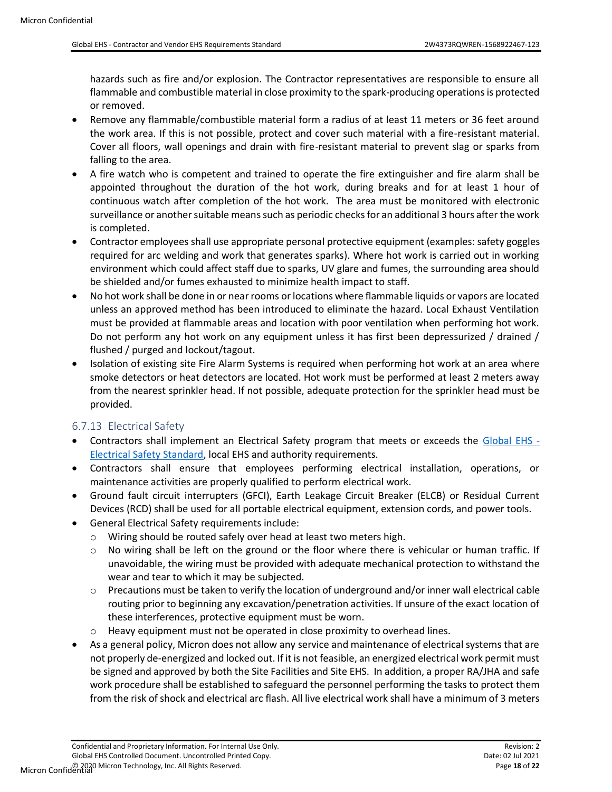hazards such as fire and/or explosion. The Contractor representatives are responsible to ensure all flammable and combustible material in close proximity to the spark-producing operations is protected or removed.

- Remove any flammable/combustible material form a radius of at least 11 meters or 36 feet around the work area. If this is not possible, protect and cover such material with a fire-resistant material. Cover all floors, wall openings and drain with fire-resistant material to prevent slag or sparks from falling to the area.
- A fire watch who is competent and trained to operate the fire extinguisher and fire alarm shall be appointed throughout the duration of the hot work, during breaks and for at least 1 hour of continuous watch after completion of the hot work. The area must be monitored with electronic surveillance or another suitable means such as periodic checks for an additional 3 hours after the work is completed.
- Contractor employees shall use appropriate personal protective equipment (examples: safety goggles required for arc welding and work that generates sparks). Where hot work is carried out in working environment which could affect staff due to sparks, UV glare and fumes, the surrounding area should be shielded and/or fumes exhausted to minimize health impact to staff.
- No hot work shall be done in or near rooms or locations where flammable liquids or vapors are located unless an approved method has been introduced to eliminate the hazard. Local Exhaust Ventilation must be provided at flammable areas and location with poor ventilation when performing hot work. Do not perform any hot work on any equipment unless it has first been depressurized / drained / flushed / purged and lockout/tagout.
- Isolation of existing site Fire Alarm Systems is required when performing hot work at an area where smoke detectors or heat detectors are located. Hot work must be performed at least 2 meters away from the nearest sprinkler head. If not possible, adequate protection for the sprinkler head must be provided.

#### <span id="page-17-0"></span>6.7.13 Electrical Safety

- Contractors shall implement an Electrical Safety program that meets or exceeds the [Global EHS -](#page-6-0) [Electrical Safety Standard,](#page-6-0) local EHS and authority requirements.
- Contractors shall ensure that employees performing electrical installation, operations, or maintenance activities are properly qualified to perform electrical work.
- Ground fault circuit interrupters (GFCI), Earth Leakage Circuit Breaker (ELCB) or Residual Current Devices (RCD) shall be used for all portable electrical equipment, extension cords, and power tools.
- General Electrical Safety requirements include:
	- o Wiring should be routed safely over head at least two meters high.
	- $\circ$  No wiring shall be left on the ground or the floor where there is vehicular or human traffic. If unavoidable, the wiring must be provided with adequate mechanical protection to withstand the wear and tear to which it may be subjected.
	- $\circ$  Precautions must be taken to verify the location of underground and/or inner wall electrical cable routing prior to beginning any excavation/penetration activities. If unsure of the exact location of these interferences, protective equipment must be worn.
	- $\circ$  Heavy equipment must not be operated in close proximity to overhead lines.
- As a general policy, Micron does not allow any service and maintenance of electrical systems that are not properly de-energized and locked out. If it is not feasible, an energized electrical work permit must be signed and approved by both the Site Facilities and Site EHS. In addition, a proper RA/JHA and safe work procedure shall be established to safeguard the personnel performing the tasks to protect them from the risk of shock and electrical arc flash. All live electrical work shall have a minimum of 3 meters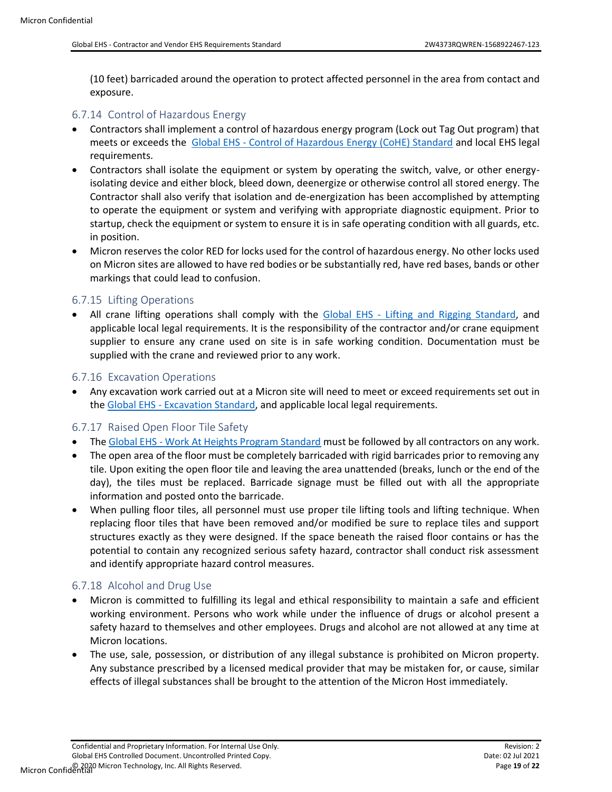(10 feet) barricaded around the operation to protect affected personnel in the area from contact and exposure.

#### <span id="page-18-0"></span>6.7.14 Control of Hazardous Energy

- Contractors shall implement a control of hazardous energy program (Lock out Tag Out program) that meets or exceeds the Global EHS - [Control of Hazardous Energy \(CoHE\) Standard](#page-6-0) and local EHS legal requirements.
- Contractors shall isolate the equipment or system by operating the switch, valve, or other energyisolating device and either block, bleed down, deenergize or otherwise control all stored energy. The Contractor shall also verify that isolation and de-energization has been accomplished by attempting to operate the equipment or system and verifying with appropriate diagnostic equipment. Prior to startup, check the equipment or system to ensure it is in safe operating condition with all guards, etc. in position.
- Micron reserves the color RED for locks used for the control of hazardous energy. No other locks used on Micron sites are allowed to have red bodies or be substantially red, have red bases, bands or other markings that could lead to confusion.

#### <span id="page-18-1"></span>6.7.15 Lifting Operations

All crane lifting operations shall comply with the Global EHS - Lifting [and Rigging Standard,](#page-6-0) and applicable local legal requirements. It is the responsibility of the contractor and/or crane equipment supplier to ensure any crane used on site is in safe working condition. Documentation must be supplied with the crane and reviewed prior to any work.

#### <span id="page-18-2"></span>6.7.16 Excavation Operations

• Any excavation work carried out at a Micron site will need to meet or exceed requirements set out in the Global EHS - [Excavation Standard,](#page-6-0) and applicable local legal requirements.

#### <span id="page-18-3"></span>6.7.17 Raised Open Floor Tile Safety

- The Global EHS [Work At Heights Program Standard](#page-6-0) must be followed by all contractors on any work.
- The open area of the floor must be completely barricaded with rigid barricades prior to removing any tile. Upon exiting the open floor tile and leaving the area unattended (breaks, lunch or the end of the day), the tiles must be replaced. Barricade signage must be filled out with all the appropriate information and posted onto the barricade.
- When pulling floor tiles, all personnel must use proper tile lifting tools and lifting technique. When replacing floor tiles that have been removed and/or modified be sure to replace tiles and support structures exactly as they were designed. If the space beneath the raised floor contains or has the potential to contain any recognized serious safety hazard, contractor shall conduct risk assessment and identify appropriate hazard control measures.

#### <span id="page-18-4"></span>6.7.18 Alcohol and Drug Use

- Micron is committed to fulfilling its legal and ethical responsibility to maintain a safe and efficient working environment. Persons who work while under the influence of drugs or alcohol present a safety hazard to themselves and other employees. Drugs and alcohol are not allowed at any time at Micron locations.
- The use, sale, possession, or distribution of any illegal substance is prohibited on Micron property. Any substance prescribed by a licensed medical provider that may be mistaken for, or cause, similar effects of illegal substances shall be brought to the attention of the Micron Host immediately.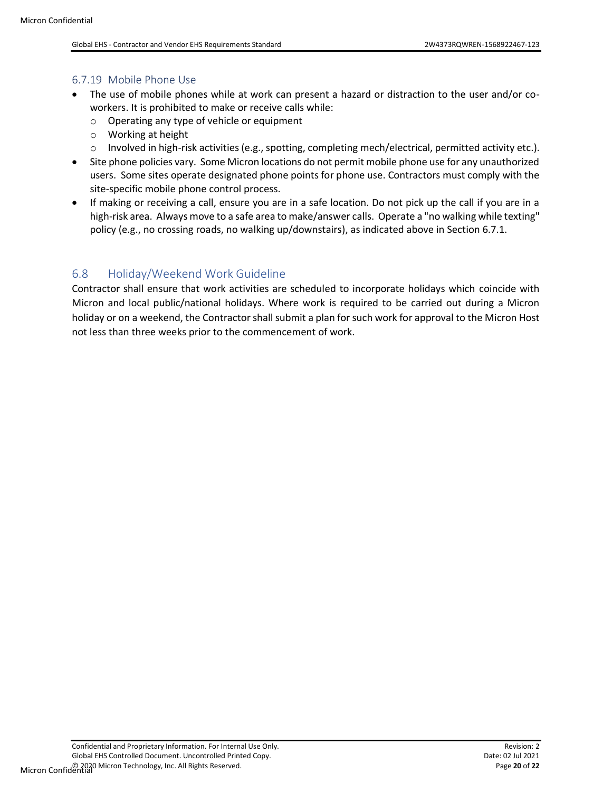#### <span id="page-19-0"></span>6.7.19 Mobile Phone Use

- The use of mobile phones while at work can present a hazard or distraction to the user and/or coworkers. It is prohibited to make or receive calls while:
	- o Operating any type of vehicle or equipment
	- o Working at height
	- $\circ$  Involved in high-risk activities (e.g., spotting, completing mech/electrical, permitted activity etc.).
- Site phone policies vary. Some Micron locations do not permit mobile phone use for any unauthorized users. Some sites operate designated phone points for phone use. Contractors must comply with the site-specific mobile phone control process.
- If making or receiving a call, ensure you are in a safe location. Do not pick up the call if you are in a high-risk area. Always move to a safe area to make/answer calls. Operate a "no walking while texting" policy (e.g., no crossing roads, no walking up/downstairs), as indicated above in Section 6.7.1.

### <span id="page-19-1"></span>6.8 Holiday/Weekend Work Guideline

Contractor shall ensure that work activities are scheduled to incorporate holidays which coincide with Micron and local public/national holidays. Where work is required to be carried out during a Micron holiday or on a weekend, the Contractor shall submit a plan for such work for approval to the Micron Host not less than three weeks prior to the commencement of work.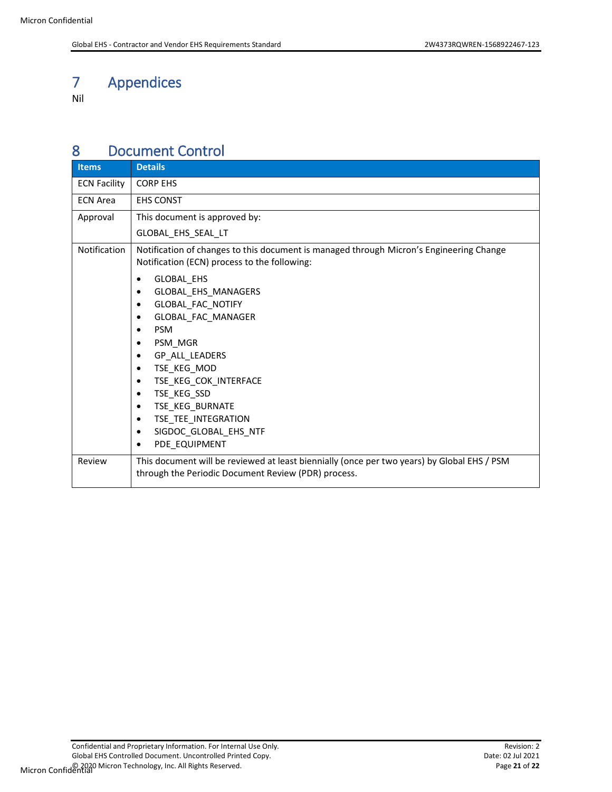# <span id="page-20-0"></span>7 Appendices

Nil

### <span id="page-20-1"></span>8 Document Control

| <b>Items</b>        | <b>Details</b>                                                                                                                                                                                                                                                     |
|---------------------|--------------------------------------------------------------------------------------------------------------------------------------------------------------------------------------------------------------------------------------------------------------------|
| <b>ECN Facility</b> | <b>CORP EHS</b>                                                                                                                                                                                                                                                    |
| <b>ECN Area</b>     | <b>EHS CONST</b>                                                                                                                                                                                                                                                   |
| Approval            | This document is approved by:                                                                                                                                                                                                                                      |
|                     | GLOBAL_EHS_SEAL_LT                                                                                                                                                                                                                                                 |
| Notification        | Notification of changes to this document is managed through Micron's Engineering Change<br>Notification (ECN) process to the following:                                                                                                                            |
|                     | GLOBAL_EHS<br>GLOBAL_EHS_MANAGERS<br>GLOBAL_FAC_NOTIFY<br>GLOBAL_FAC_MANAGER<br><b>PSM</b><br>PSM_MGR<br>GP_ALL_LEADERS<br>TSE_KEG_MOD<br>TSE_KEG_COK_INTERFACE<br>TSE_KEG_SSD<br>TSE_KEG_BURNATE<br>TSE_TEE_INTEGRATION<br>SIGDOC_GLOBAL_EHS_NTF<br>PDE EQUIPMENT |
| Review              | This document will be reviewed at least biennially (once per two years) by Global EHS / PSM<br>through the Periodic Document Review (PDR) process.                                                                                                                 |